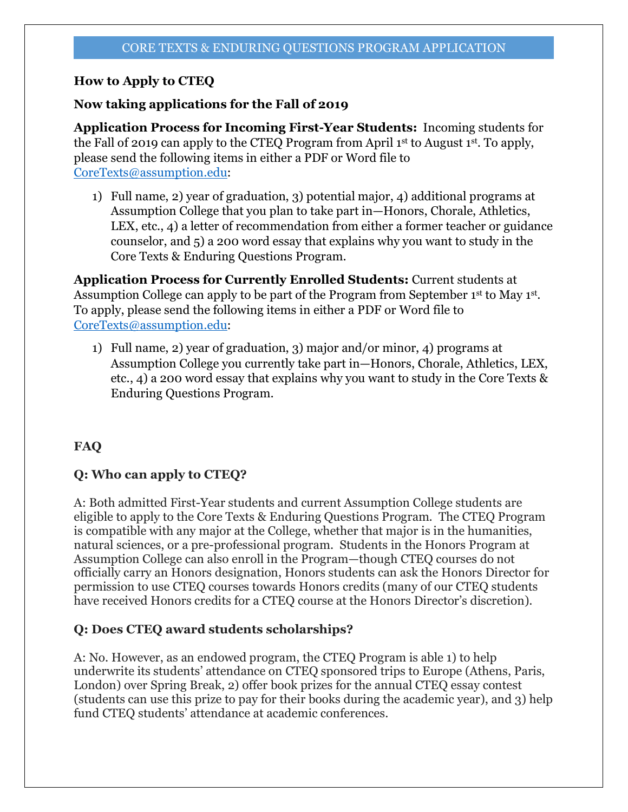# **How to Apply to CTEQ**

# **Now taking applications for the Fall of 2019**

**Application Process for Incoming First-Year Students:** Incoming students for the Fall of 2019 can apply to the CTEQ Program from April 1st to August 1st. To apply, please send the following items in either a PDF or Word file to CoreTexts@assumption.edu:

1) Full name, 2) year of graduation, 3) potential major, 4) additional programs at Assumption College that you plan to take part in—Honors, Chorale, Athletics, LEX, etc., 4) a letter of recommendation from either a former teacher or guidance counselor, and 5) a 200 word essay that explains why you want to study in the Core Texts & Enduring Questions Program.

**Application Process for Currently Enrolled Students:** Current students at Assumption College can apply to be part of the Program from September 1<sup>st</sup> to May 1<sup>st</sup>. To apply, please send the following items in either a PDF or Word file to CoreTexts@assumption.edu:

1) Full name, 2) year of graduation, 3) major and/or minor, 4) programs at Assumption College you currently take part in—Honors, Chorale, Athletics, LEX, etc., 4) a 200 word essay that explains why you want to study in the Core Texts & Enduring Questions Program.

# **FAQ**

# **Q: Who can apply to CTEQ?**

A: Both admitted First-Year students and current Assumption College students are eligible to apply to the Core Texts & Enduring Questions Program. The CTEQ Program is compatible with any major at the College, whether that major is in the humanities, natural sciences, or a pre-professional program. Students in the Honors Program at Assumption College can also enroll in the Program—though CTEQ courses do not officially carry an Honors designation, Honors students can ask the Honors Director for permission to use CTEQ courses towards Honors credits (many of our CTEQ students have received Honors credits for a CTEQ course at the Honors Director's discretion).

## **Q: Does CTEQ award students scholarships?**

A: No. However, as an endowed program, the CTEQ Program is able 1) to help underwrite its students' attendance on CTEQ sponsored trips to Europe (Athens, Paris, London) over Spring Break, 2) offer book prizes for the annual CTEQ essay contest (students can use this prize to pay for their books during the academic year), and 3) help fund CTEQ students' attendance at academic conferences.